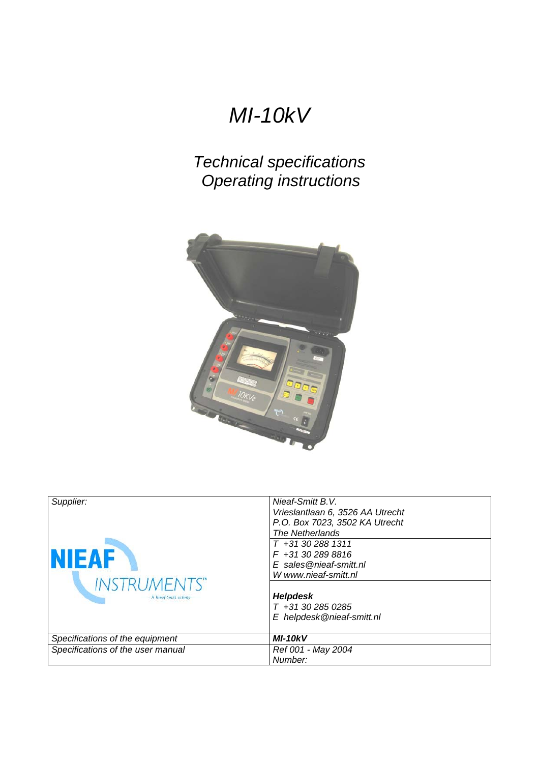# *MI-10kV*

*Technical specifications Operating instructions*



| Supplier:                         | Nieaf-Smitt B.V.                 |
|-----------------------------------|----------------------------------|
|                                   | Vrieslantlaan 6, 3526 AA Utrecht |
|                                   | P.O. Box 7023, 3502 KA Utrecht   |
|                                   | The Netherlands                  |
|                                   | T +31 30 288 1311                |
| <b>NIEAF</b>                      | F +31 30 289 8816                |
|                                   | E sales@nieaf-smitt.nl           |
|                                   | W www.nieaf-smitt.nl             |
| <b>INSTRUMENTS"</b>               |                                  |
| A Niedf-Soutt activity            | <b>Helpdesk</b>                  |
|                                   | $T$ +31 30 285 0285              |
|                                   | E helpdesk@nieaf-smitt.nl        |
|                                   |                                  |
| Specifications of the equipment   | <b>MI-10kV</b>                   |
| Specifications of the user manual | Ref 001 - May 2004               |
|                                   | Number:                          |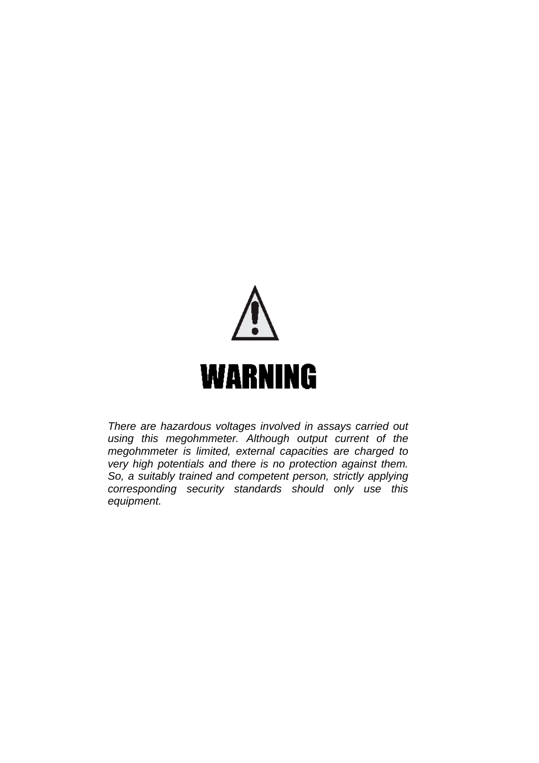

*There are hazardous voltages involved in assays carried out using this megohmmeter. Although output current of the megohmmeter is limited, external capacities are charged to very high potentials and there is no protection against them. So, a suitably trained and competent person, strictly applying corresponding security standards should only use this equipment.*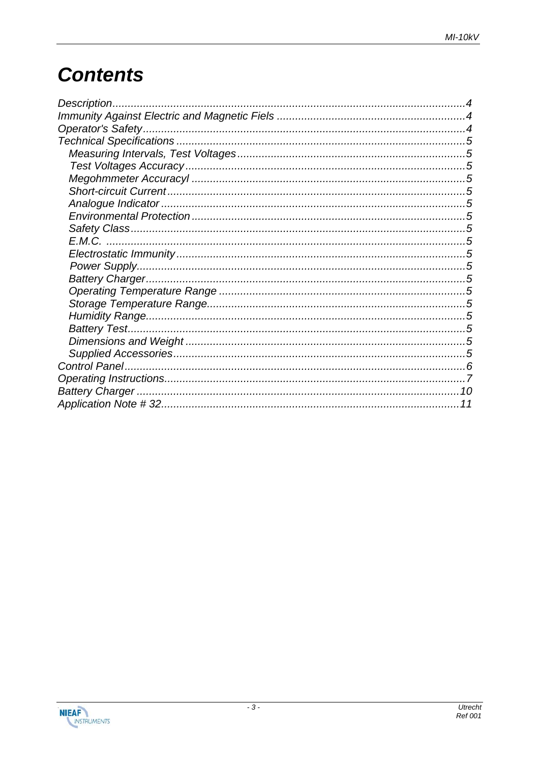# **Contents**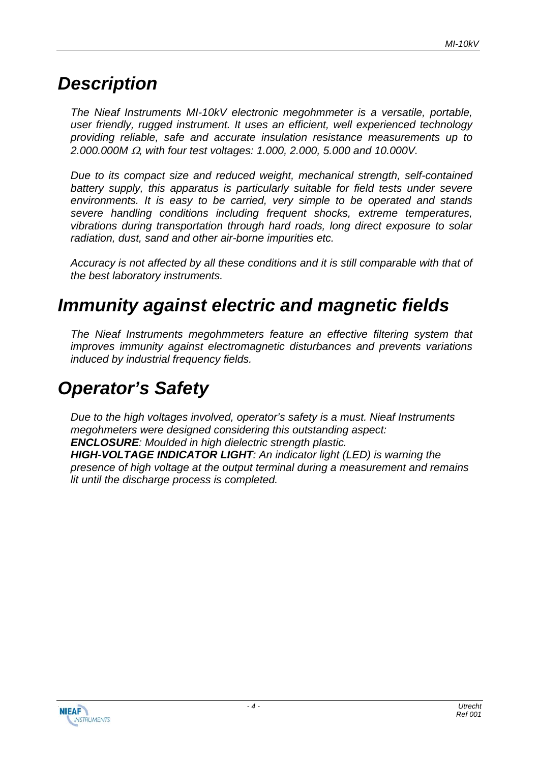## *Description*

*The Nieaf Instruments MI-10kV electronic megohmmeter is a versatile, portable, user friendly, rugged instrument. It uses an efficient, well experienced technology providing reliable, safe and accurate insulation resistance measurements up to 2.000.000M* Ω*, with four test voltages: 1.000, 2.000, 5.000 and 10.000V.*

*Due to its compact size and reduced weight, mechanical strength, self-contained battery supply, this apparatus is particularly suitable for field tests under severe environments. It is easy to be carried, very simple to be operated and stands severe handling conditions including frequent shocks, extreme temperatures, vibrations during transportation through hard roads, long direct exposure to solar radiation, dust, sand and other air-borne impurities etc.*

*Accuracy is not affected by all these conditions and it is still comparable with that of the best laboratory instruments.*

## *Immunity against electric and magnetic fields*

*The Nieaf Instruments megohmmeters feature an effective filtering system that improves immunity against electromagnetic disturbances and prevents variations induced by industrial frequency fields.*

## *Operator's Safety*

*Due to the high voltages involved, operator's safety is a must. Nieaf Instruments megohmeters were designed considering this outstanding aspect: ENCLOSURE: Moulded in high dielectric strength plastic.*

*HIGH-VOLTAGE INDICATOR LIGHT: An indicator light (LED) is warning the presence of high voltage at the output terminal during a measurement and remains lit until the discharge process is completed.*

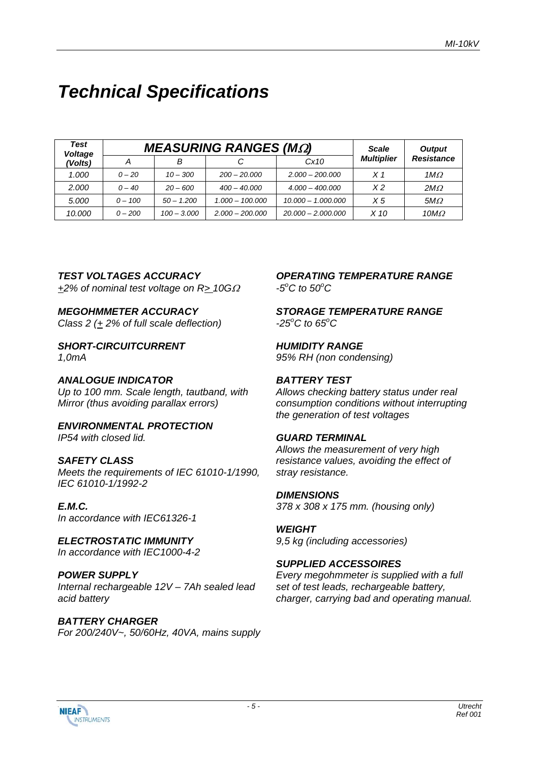# *Technical Specifications*

| Test<br><b>Voltage</b> | <b>MEASURING RANGES (ΜΩ)</b> |               |                   | <b>Scale</b>         | <b>Output</b>     |                   |
|------------------------|------------------------------|---------------|-------------------|----------------------|-------------------|-------------------|
| (Volts)                |                              | в             |                   | Cx10                 | <b>Multiplier</b> | <b>Resistance</b> |
| 1.000                  | $0 - 20$                     | $10 - 300$    | $200 - 20.000$    | $2.000 - 200.000$    | $\times$ 1        | 1 $M\Omega$       |
| 2.000                  | $0 - 40$                     | $20 - 600$    | $400 - 40.000$    | $4.000 - 400.000$    | X <sub>2</sub>    | $2M\Omega$        |
| 5.000                  | $0 - 100$                    | $50 - 1.200$  | $1,000 - 100,000$ | 10.000 - 1.000.000   | X 5               | $5M\Omega$        |
| 10.000                 | $0 - 200$                    | $100 - 3.000$ | $2.000 - 200.000$ | $20.000 - 2.000.000$ | X 10              | 10 $M\Omega$      |

*+2% of nominal test voltage on R> 10G*<sup>Ω</sup> *-5<sup>o</sup>*

*Class 2 (+ 2% of full scale deflection)* 

#### *SHORT-CIRCUITCURRENT HUMIDITY RANGE 1,0mA 95% RH (non condensing)*

### *ANALOGUE INDICATOR BATTERY TEST*

#### *ENVIRONMENTAL PROTECTION IP54 with closed lid. GUARD TERMINAL*

*Meets the requirements of IEC 61010-1/1990, stray resistance. IEC 61010-1/1992-2*

*In accordance with IEC61326-1*

*ELECTROSTATIC IMMUNITY 9,5 kg (including accessories) In accordance with IEC1000-4-2*

*POWER SUPPLY Every megohmmeter is supplied with a full Internal rechargeable 12V – 7Ah sealed lead set of test leads, rechargeable battery, acid battery charger, carrying bad and operating manual.*

*BATTERY CHARGER For 200/240V~, 50/60Hz, 40VA, mains supply*

*TEST VOLTAGES ACCURACY OPERATING TEMPERATURE RANGE*  $C$  to  $50^{\circ}$ C

### *MEGOHMMETER ACCURACY STORAGE TEMPERATURE RANGE C to 65<sup>o</sup> C*

*Up to 100 mm. Scale length, tautband, with Allows checking battery status under real Mirror (thus avoiding parallax errors) consumption conditions without interrupting the generation of test voltages*

*Allows the measurement of very high SAFETY CLASS resistance values, avoiding the effect of*

### *DIMENSIONS*

*E.M.C. 378 x 308 x 175 mm. (housing only)*

### *WEIGHT*

### *SUPPLIED ACCESSOIRES*

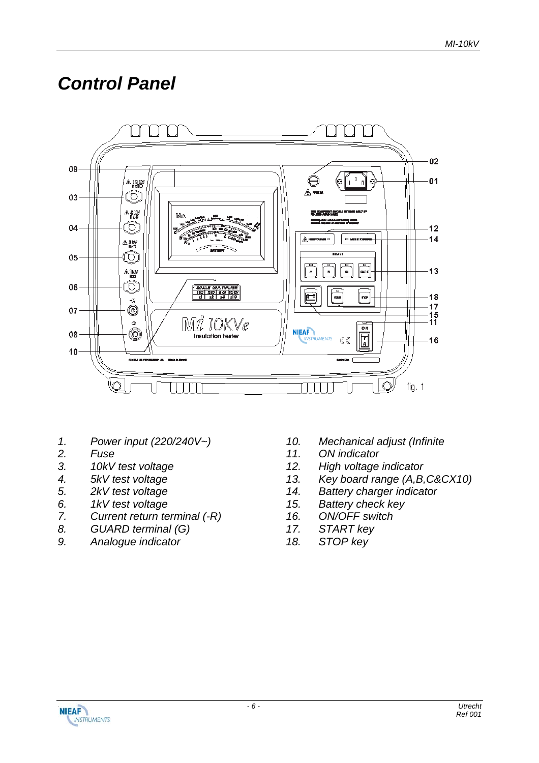## *Control Panel*



- *1. Power input (220/240V~) 10. Mechanical adjust (Infinite*
- 
- 
- 
- 
- 
- *7. Current return terminal (-R) 16. ON/OFF switch*
- *8. GUARD terminal (G) 17. START key*
- *9. Analogue indicator 18. STOP key*
- 
- *2. Fuse 11. ON indicator*
- *3. 10kV test voltage 12. High voltage indicator*
- *4. 5kV test voltage 13. Key board range (A,B,C&CX10)*
- *5. 2kV test voltage 14. Battery charger indicator*
- *6. 1kV test voltage 15. Battery check key*
	-
	-
	-

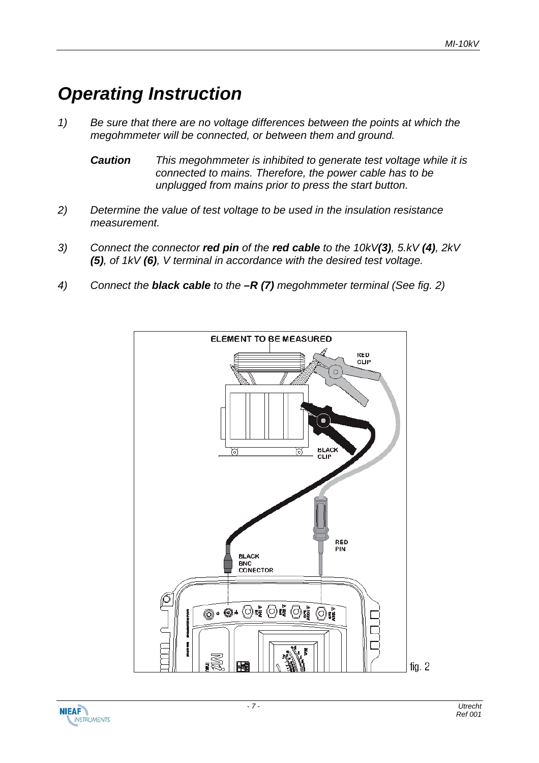# *Operating Instruction*

*1) Be sure that there are no voltage differences between the points at which the megohmmeter will be connected, or between them and ground.*

*Caution This megohmmeter is inhibited to generate test voltage while it is connected to mains. Therefore, the power cable has to be unplugged from mains prior to press the start button.*

- *2) Determine the value of test voltage to be used in the insulation resistance measurement.*
- *3) Connect the connector red pin of the red cable to the 10kV(3), 5.kV (4), 2kV (5), of 1kV (6), V terminal in accordance with the desired test voltage.*
- *4) Connect the black cable to the –R (7) megohmmeter terminal (See fig. 2)*

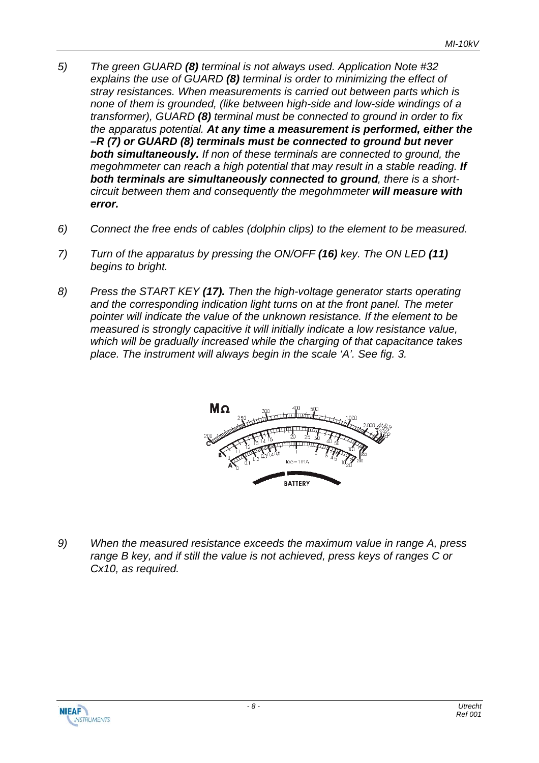- *5) The green GUARD (8) terminal is not always used. Application Note #32 explains the use of GUARD (8) terminal is order to minimizing the effect of stray resistances. When measurements is carried out between parts which is none of them is grounded, (like between high-side and low-side windings of a transformer), GUARD (8) terminal must be connected to ground in order to fix the apparatus potential. At any time a measurement is performed, either the –R (7) or GUARD (8) terminals must be connected to ground but never both simultaneously. If non of these terminals are connected to ground, the megohmmeter can reach a high potential that may result in a stable reading.* If *both terminals are simultaneously connected to ground, there is a shortcircuit between them and consequently the megohmmeter will measure with error.*
- *6) Connect the free ends of cables (dolphin clips) to the element to be measured.*
- *7) Turn of the apparatus by pressing the ON/OFF (16) key. The ON LED (11) begins to bright.*
- *8) Press the START KEY (17). Then the high-voltage generator starts operating and the corresponding indication light turns on at the front panel. The meter pointer will indicate the value of the unknown resistance. If the element to be measured is strongly capacitive it will initially indicate a low resistance value, which will be gradually increased while the charging of that capacitance takes place. The instrument will always begin in the scale 'A'. See fig. 3.*

![](_page_7_Figure_5.jpeg)

*9) When the measured resistance exceeds the maximum value in range A, press range B key, and if still the value is not achieved, press keys of ranges C or Cx10, as required.*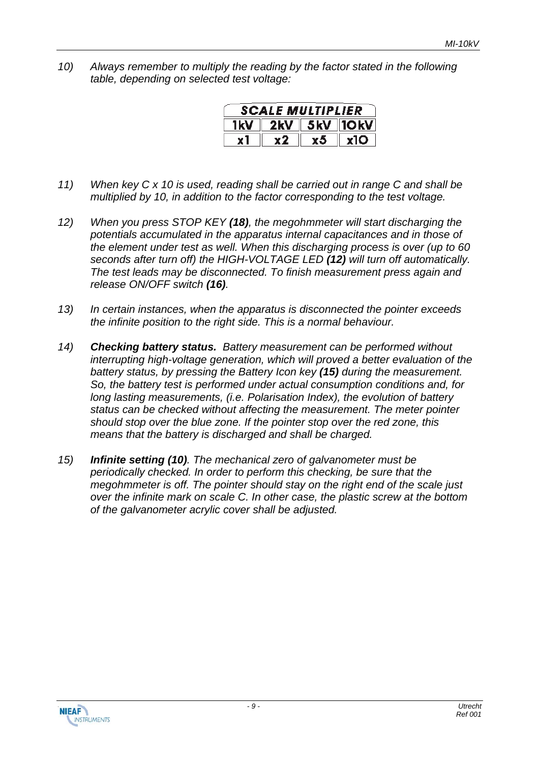*10) Always remember to multiply the reading by the factor stated in the following table, depending on selected test voltage:*

| <b>SCALE MULTIPLIER</b> |                  |                            |                             |  |
|-------------------------|------------------|----------------------------|-----------------------------|--|
|                         | 1kV 2kV 5kV 10kV |                            |                             |  |
| x1                      | x2               | $\parallel$ x <sup>5</sup> | $\parallel$ x10 $\parallel$ |  |

- *11) When key C x 10 is used, reading shall be carried out in range C and shall be multiplied by 10, in addition to the factor corresponding to the test voltage.*
- *12) When you press STOP KEY (18), the megohmmeter will start discharging the potentials accumulated in the apparatus internal capacitances and in those of the element under test as well. When this discharging process is over (up to 60 seconds after turn off) the HIGH-VOLTAGE LED (12) will turn off automatically. The test leads may be disconnected. To finish measurement press again and release ON/OFF switch (16).*
- *13) In certain instances, when the apparatus is disconnected the pointer exceeds the infinite position to the right side. This is a normal behaviour.*
- *14) Checking battery status. Battery measurement can be performed without interrupting high-voltage generation, which will proved a better evaluation of the battery status, by pressing the Battery Icon key (15) during the measurement. So, the battery test is performed under actual consumption conditions and, for long lasting measurements, (i.e. Polarisation Index), the evolution of battery status can be checked without affecting the measurement. The meter pointer should stop over the blue zone. If the pointer stop over the red zone, this means that the battery is discharged and shall be charged.*
- *15) Infinite setting (10). The mechanical zero of galvanometer must be periodically checked. In order to perform this checking, be sure that the megohmmeter is off. The pointer should stay on the right end of the scale just over the infinite mark on scale C. In other case, the plastic screw at the bottom of the galvanometer acrylic cover shall be adjusted.*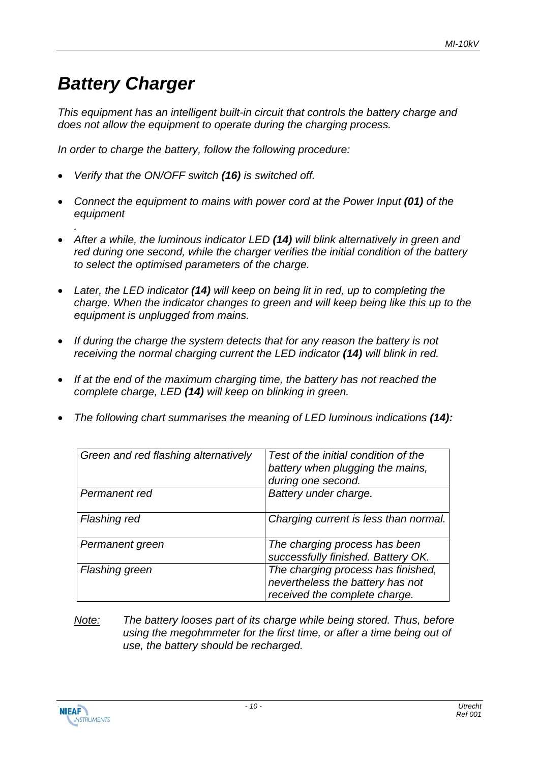# *Battery Charger*

*This equipment has an intelligent built-in circuit that controls the battery charge and does not allow the equipment to operate during the charging process.*

*In order to charge the battery, follow the following procedure:*

- *Verify that the ON/OFF switch (16) is switched off.*
- *Connect the equipment to mains with power cord at the Power Input (01) of the equipment*
- *.* • *After a while, the luminous indicator LED (14) will blink alternatively in green and red during one second, while the charger verifies the initial condition of the battery to select the optimised parameters of the charge.*
- *Later, the LED indicator (14) will keep on being lit in red, up to completing the charge. When the indicator changes to green and will keep being like this up to the equipment is unplugged from mains.*
- *If during the charge the system detects that for any reason the battery is not receiving the normal charging current the LED indicator (14) will blink in red.*
- *If at the end of the maximum charging time, the battery has not reached the complete charge, LED (14) will keep on blinking in green.*
- *The following chart summarises the meaning of LED luminous indications (14):*

| Green and red flashing alternatively | Test of the initial condition of the<br>battery when plugging the mains,                                |
|--------------------------------------|---------------------------------------------------------------------------------------------------------|
|                                      | during one second.                                                                                      |
|                                      |                                                                                                         |
| Permanent red                        | Battery under charge.                                                                                   |
| <b>Flashing red</b>                  | Charging current is less than normal.                                                                   |
| Permanent green                      | The charging process has been<br>successfully finished. Battery OK.                                     |
| Flashing green                       | The charging process has finished,<br>nevertheless the battery has not<br>received the complete charge. |

*Note: The battery looses part of its charge while being stored. Thus, before using the megohmmeter for the first time, or after a time being out of use, the battery should be recharged.*

![](_page_9_Picture_13.jpeg)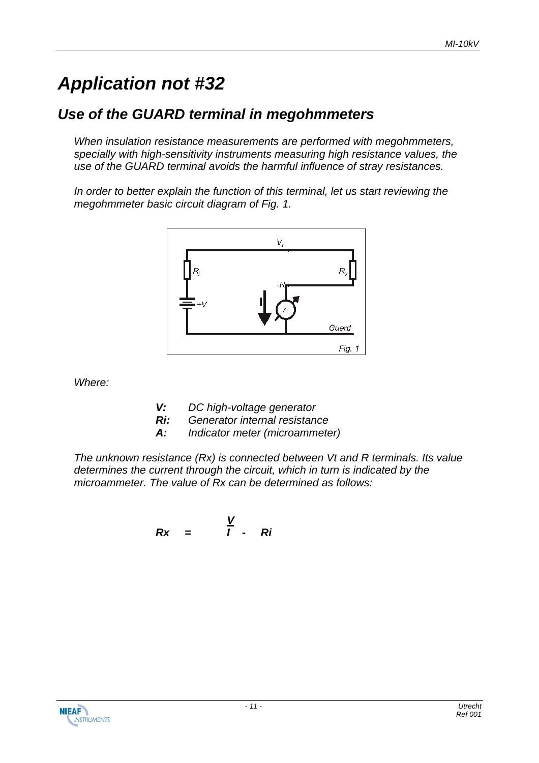# *Application not #32*

## *Use of the GUARD terminal in megohmmeters*

*When insulation resistance measurements are performed with megohmmeters, specially with high-sensitivity instruments measuring high resistance values, the use of the GUARD terminal avoids the harmful influence of stray resistances.*

*In order to better explain the function of this terminal, let us start reviewing the megohmmeter basic circuit diagram of Fig. 1.*

![](_page_10_Figure_5.jpeg)

*Where:*

- *V: DC high-voltage generator*
- *Ri: Generator internal resistance*
- *A: Indicator meter (microammeter)*

*The unknown resistance (Rx) is connected between Vt and R terminals. Its value determines the current through the circuit, which in turn is indicated by the microammeter. The value of Rx can be determined as follows:*

$$
Rx = \frac{V}{I} - Ri
$$

![](_page_10_Picture_12.jpeg)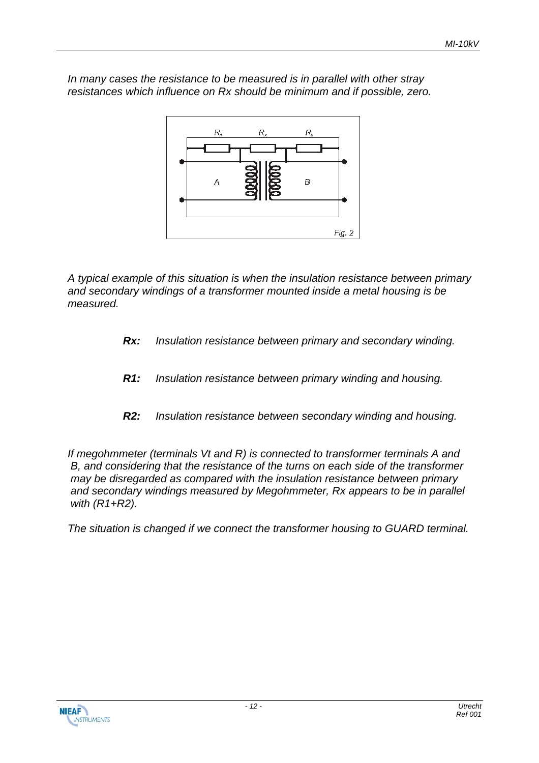*In many cases the resistance to be measured is in parallel with other stray resistances which influence on Rx should be minimum and if possible, zero.*

![](_page_11_Figure_2.jpeg)

*A typical example of this situation is when the insulation resistance between primary and secondary windings of a transformer mounted inside a metal housing is be measured.*

- *Rx: Insulation resistance between primary and secondary winding.*
- *R1: Insulation resistance between primary winding and housing.*
- *R2: Insulation resistance between secondary winding and housing.*

*If megohmmeter (terminals Vt and R) is connected to transformer terminals A and B, and considering that the resistance of the turns on each side of the transformer may be disregarded as compared with the insulation resistance between primary and secondary windings measured by Megohmmeter, Rx appears to be in parallel with (R1+R2).*

*The situation is changed if we connect the transformer housing to GUARD terminal.*

![](_page_11_Picture_9.jpeg)